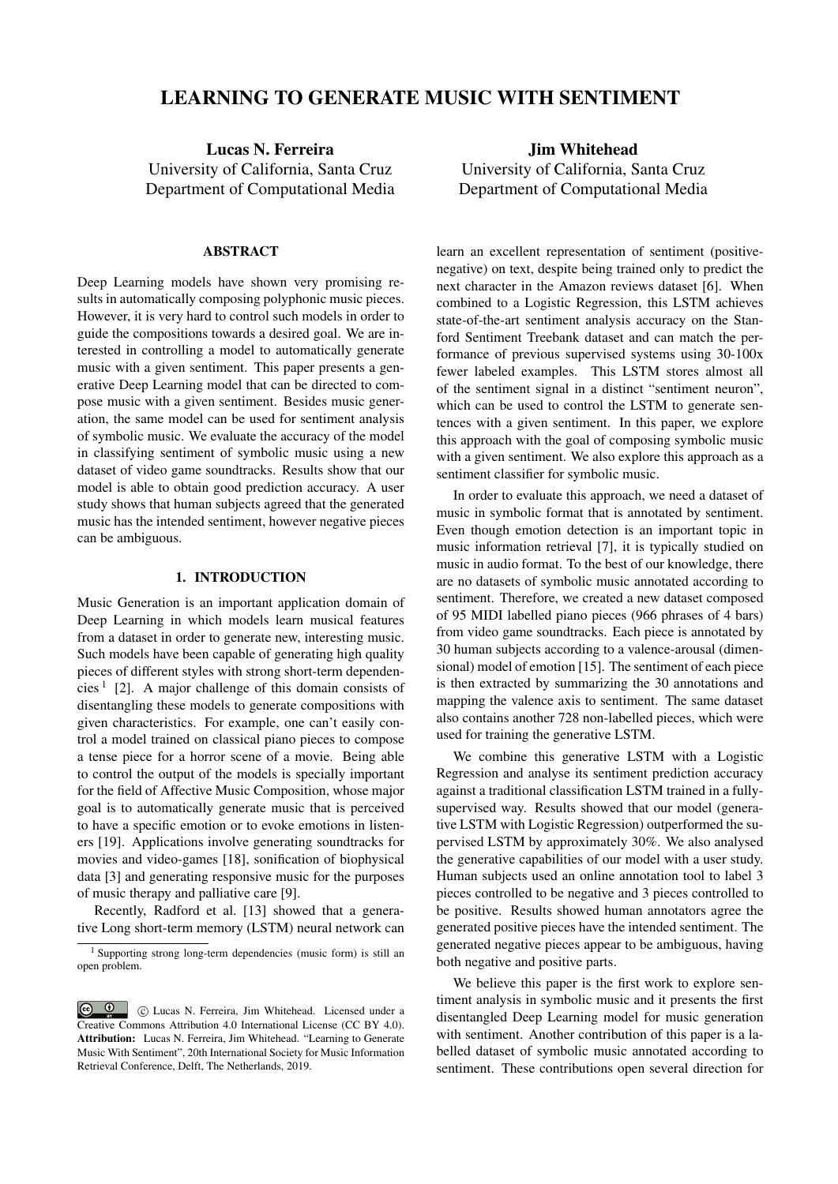# LEARNING TO GENERATE MUSIC WITH SENTIMENT

Lucas N. Ferreira University of California, Santa Cruz Department of Computational Media

#### ABSTRACT

Deep Learning models have shown very promising results in automatically composing polyphonic music pieces. However, it is very hard to control such models in order to guide the compositions towards a desired goal. We are interested in controlling a model to automatically generate music with a given sentiment. This paper presents a generative Deep Learning model that can be directed to compose music with a given sentiment. Besides music generation, the same model can be used for sentiment analysis of symbolic music. We evaluate the accuracy of the model in classifying sentiment of symbolic music using a new dataset of video game soundtracks. Results show that our model is able to obtain good prediction accuracy. A user study shows that human subjects agreed that the generated music has the intended sentiment, however negative pieces can be ambiguous.

### 1. INTRODUCTION

Music Generation is an important application domain of Deep Learning in which models learn musical features from a dataset in order to generate new, interesting music. Such models have been capable of generating high quality pieces of different styles with strong short-term dependencies<sup>1</sup> [2]. A major challenge of this domain consists of disentangling these models to generate compositions with given characteristics. For example, one can't easily control a model trained on classical piano pieces to compose a tense piece for a horror scene of a movie. Being able to control the output of the models is specially important for the field of Affective Music Composition, whose major goal is to automatically generate music that is perceived to have a specific emotion or to evoke emotions in listeners [19]. Applications involve generating soundtracks for movies and video-games [18], sonification of biophysical data [3] and generating responsive music for the purposes of music therapy and palliative care [9].

Recently, Radford et al. [13] showed that a generative Long short-term memory (LSTM) neural network can

Jim Whitehead University of California, Santa Cruz Department of Computational Media

learn an excellent representation of sentiment (positivenegative) on text, despite being trained only to predict the next character in the Amazon reviews dataset [6]. When combined to a Logistic Regression, this LSTM achieves state-of-the-art sentiment analysis accuracy on the Stanford Sentiment Treebank dataset and can match the performance of previous supervised systems using 30-100x fewer labeled examples. This LSTM stores almost all of the sentiment signal in a distinct "sentiment neuron", which can be used to control the LSTM to generate sentences with a given sentiment. In this paper, we explore this approach with the goal of composing symbolic music with a given sentiment. We also explore this approach as a sentiment classifier for symbolic music.

In order to evaluate this approach, we need a dataset of music in symbolic format that is annotated by sentiment. Even though emotion detection is an important topic in music information retrieval [7], it is typically studied on music in audio format. To the best of our knowledge, there are no datasets of symbolic music annotated according to sentiment. Therefore, we created a new dataset composed of 95 MIDI labelled piano pieces (966 phrases of 4 bars) from video game soundtracks. Each piece is annotated by 30 human subjects according to a valence-arousal (dimensional) model of emotion [15]. The sentiment of each piece is then extracted by summarizing the 30 annotations and mapping the valence axis to sentiment. The same dataset also contains another 728 non-labelled pieces, which were used for training the generative LSTM.

We combine this generative LSTM with a Logistic Regression and analyse its sentiment prediction accuracy against a traditional classification LSTM trained in a fullysupervised way. Results showed that our model (generative LSTM with Logistic Regression) outperformed the supervised LSTM by approximately 30%. We also analysed the generative capabilities of our model with a user study. Human subjects used an online annotation tool to label 3 pieces controlled to be negative and 3 pieces controlled to be positive. Results showed human annotators agree the generated positive pieces have the intended sentiment. The generated negative pieces appear to be ambiguous, having both negative and positive parts.

We believe this paper is the first work to explore sentiment analysis in symbolic music and it presents the first disentangled Deep Learning model for music generation with sentiment. Another contribution of this paper is a labelled dataset of symbolic music annotated according to sentiment. These contributions open several direction for

<sup>1</sup> Supporting strong long-term dependencies (music form) is still an open problem.

c **C** C Lucas N. Ferreira, Jim Whitehead. Licensed under a Creative Commons Attribution 4.0 International License (CC BY 4.0). Attribution: Lucas N. Ferreira, Jim Whitehead. "Learning to Generate Music With Sentiment", 20th International Society for Music Information Retrieval Conference, Delft, The Netherlands, 2019.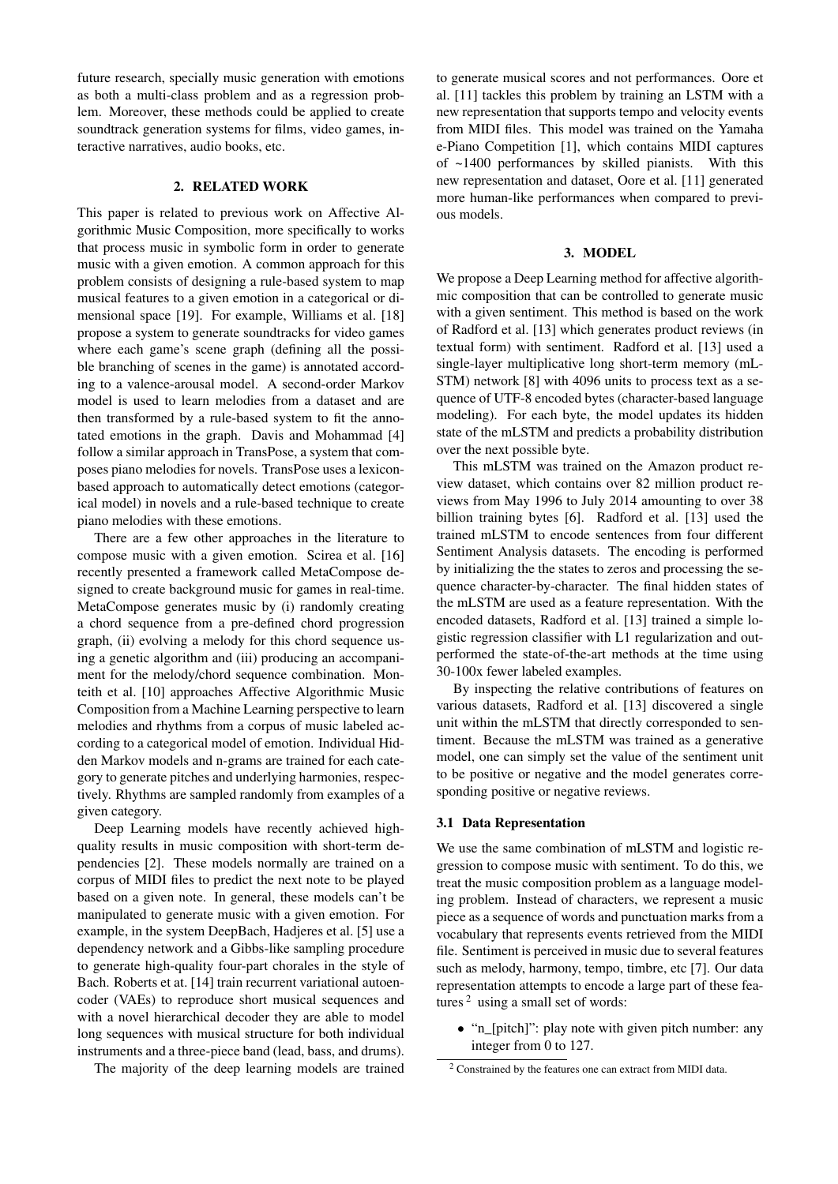future research, specially music generation with emotions as both a multi-class problem and as a regression problem. Moreover, these methods could be applied to create soundtrack generation systems for films, video games, interactive narratives, audio books, etc.

# 2. RELATED WORK

This paper is related to previous work on Affective Algorithmic Music Composition, more specifically to works that process music in symbolic form in order to generate music with a given emotion. A common approach for this problem consists of designing a rule-based system to map musical features to a given emotion in a categorical or dimensional space [19]. For example, Williams et al. [18] propose a system to generate soundtracks for video games where each game's scene graph (defining all the possible branching of scenes in the game) is annotated according to a valence-arousal model. A second-order Markov model is used to learn melodies from a dataset and are then transformed by a rule-based system to fit the annotated emotions in the graph. Davis and Mohammad [4] follow a similar approach in TransPose, a system that composes piano melodies for novels. TransPose uses a lexiconbased approach to automatically detect emotions (categorical model) in novels and a rule-based technique to create piano melodies with these emotions.

There are a few other approaches in the literature to compose music with a given emotion. Scirea et al. [16] recently presented a framework called MetaCompose designed to create background music for games in real-time. MetaCompose generates music by (i) randomly creating a chord sequence from a pre-defined chord progression graph, (ii) evolving a melody for this chord sequence using a genetic algorithm and (iii) producing an accompaniment for the melody/chord sequence combination. Monteith et al. [10] approaches Affective Algorithmic Music Composition from a Machine Learning perspective to learn melodies and rhythms from a corpus of music labeled according to a categorical model of emotion. Individual Hidden Markov models and n-grams are trained for each category to generate pitches and underlying harmonies, respectively. Rhythms are sampled randomly from examples of a given category.

Deep Learning models have recently achieved highquality results in music composition with short-term dependencies [2]. These models normally are trained on a corpus of MIDI files to predict the next note to be played based on a given note. In general, these models can't be manipulated to generate music with a given emotion. For example, in the system DeepBach, Hadjeres et al. [5] use a dependency network and a Gibbs-like sampling procedure to generate high-quality four-part chorales in the style of Bach. Roberts et at. [14] train recurrent variational autoencoder (VAEs) to reproduce short musical sequences and with a novel hierarchical decoder they are able to model long sequences with musical structure for both individual instruments and a three-piece band (lead, bass, and drums).

The majority of the deep learning models are trained

to generate musical scores and not performances. Oore et al. [11] tackles this problem by training an LSTM with a new representation that supports tempo and velocity events from MIDI files. This model was trained on the Yamaha e-Piano Competition [1], which contains MIDI captures of ~1400 performances by skilled pianists. With this new representation and dataset, Oore et al. [11] generated more human-like performances when compared to previous models.

## 3. MODEL

We propose a Deep Learning method for affective algorithmic composition that can be controlled to generate music with a given sentiment. This method is based on the work of Radford et al. [13] which generates product reviews (in textual form) with sentiment. Radford et al. [13] used a single-layer multiplicative long short-term memory (mL-STM) network [8] with 4096 units to process text as a sequence of UTF-8 encoded bytes (character-based language modeling). For each byte, the model updates its hidden state of the mLSTM and predicts a probability distribution over the next possible byte.

This mLSTM was trained on the Amazon product review dataset, which contains over 82 million product reviews from May 1996 to July 2014 amounting to over 38 billion training bytes [6]. Radford et al. [13] used the trained mLSTM to encode sentences from four different Sentiment Analysis datasets. The encoding is performed by initializing the the states to zeros and processing the sequence character-by-character. The final hidden states of the mLSTM are used as a feature representation. With the encoded datasets, Radford et al. [13] trained a simple logistic regression classifier with L1 regularization and outperformed the state-of-the-art methods at the time using 30-100x fewer labeled examples.

By inspecting the relative contributions of features on various datasets, Radford et al. [13] discovered a single unit within the mLSTM that directly corresponded to sentiment. Because the mLSTM was trained as a generative model, one can simply set the value of the sentiment unit to be positive or negative and the model generates corresponding positive or negative reviews.

#### 3.1 Data Representation

We use the same combination of mLSTM and logistic regression to compose music with sentiment. To do this, we treat the music composition problem as a language modeling problem. Instead of characters, we represent a music piece as a sequence of words and punctuation marks from a vocabulary that represents events retrieved from the MIDI file. Sentiment is perceived in music due to several features such as melody, harmony, tempo, timbre, etc [7]. Our data representation attempts to encode a large part of these features  $2$  using a small set of words:

• "n\_[pitch]": play note with given pitch number: any integer from 0 to 127.

<sup>2</sup> Constrained by the features one can extract from MIDI data.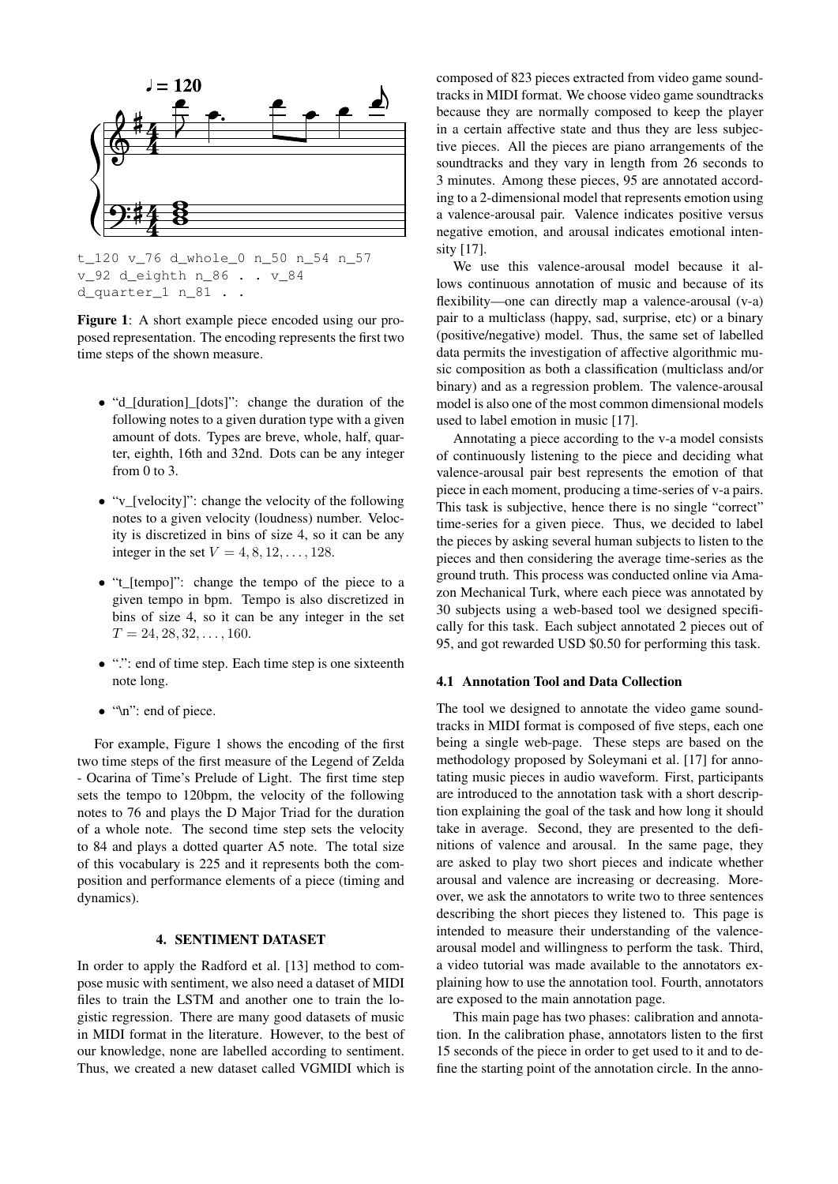

t\_120 v\_76 d\_whole\_0 n\_50 n\_54 n\_57 v\_92 d\_eighth n\_86 . . v\_84 d\_quarter\_1 n\_81 . .

Figure 1: A short example piece encoded using our proposed representation. The encoding represents the first two time steps of the shown measure.

- "d\_[duration]\_[dots]": change the duration of the following notes to a given duration type with a given amount of dots. Types are breve, whole, half, quarter, eighth, 16th and 32nd. Dots can be any integer from 0 to 3.
- "v\_[velocity]": change the velocity of the following notes to a given velocity (loudness) number. Velocity is discretized in bins of size 4, so it can be any integer in the set  $V = 4, 8, 12, ..., 128$ .
- "t\_[tempo]": change the tempo of the piece to a given tempo in bpm. Tempo is also discretized in bins of size 4, so it can be any integer in the set  $T = 24, 28, 32, \ldots, 160.$
- ".": end of time step. Each time step is one sixteenth note long.
- "\n": end of piece.

For example, Figure 1 shows the encoding of the first two time steps of the first measure of the Legend of Zelda - Ocarina of Time's Prelude of Light. The first time step sets the tempo to 120bpm, the velocity of the following notes to 76 and plays the D Major Triad for the duration of a whole note. The second time step sets the velocity to 84 and plays a dotted quarter A5 note. The total size of this vocabulary is 225 and it represents both the composition and performance elements of a piece (timing and dynamics).

# 4. SENTIMENT DATASET

In order to apply the Radford et al. [13] method to compose music with sentiment, we also need a dataset of MIDI files to train the LSTM and another one to train the logistic regression. There are many good datasets of music in MIDI format in the literature. However, to the best of our knowledge, none are labelled according to sentiment. Thus, we created a new dataset called VGMIDI which is

composed of 823 pieces extracted from video game soundtracks in MIDI format. We choose video game soundtracks because they are normally composed to keep the player in a certain affective state and thus they are less subjective pieces. All the pieces are piano arrangements of the soundtracks and they vary in length from 26 seconds to 3 minutes. Among these pieces, 95 are annotated according to a 2-dimensional model that represents emotion using a valence-arousal pair. Valence indicates positive versus negative emotion, and arousal indicates emotional intensity [17].

We use this valence-arousal model because it allows continuous annotation of music and because of its flexibility—one can directly map a valence-arousal (v-a) pair to a multiclass (happy, sad, surprise, etc) or a binary (positive/negative) model. Thus, the same set of labelled data permits the investigation of affective algorithmic music composition as both a classification (multiclass and/or binary) and as a regression problem. The valence-arousal model is also one of the most common dimensional models used to label emotion in music [17].

Annotating a piece according to the v-a model consists of continuously listening to the piece and deciding what valence-arousal pair best represents the emotion of that piece in each moment, producing a time-series of v-a pairs. This task is subjective, hence there is no single "correct" time-series for a given piece. Thus, we decided to label the pieces by asking several human subjects to listen to the pieces and then considering the average time-series as the ground truth. This process was conducted online via Amazon Mechanical Turk, where each piece was annotated by 30 subjects using a web-based tool we designed specifically for this task. Each subject annotated 2 pieces out of 95, and got rewarded USD \$0.50 for performing this task.

#### 4.1 Annotation Tool and Data Collection

The tool we designed to annotate the video game soundtracks in MIDI format is composed of five steps, each one being a single web-page. These steps are based on the methodology proposed by Soleymani et al. [17] for annotating music pieces in audio waveform. First, participants are introduced to the annotation task with a short description explaining the goal of the task and how long it should take in average. Second, they are presented to the definitions of valence and arousal. In the same page, they are asked to play two short pieces and indicate whether arousal and valence are increasing or decreasing. Moreover, we ask the annotators to write two to three sentences describing the short pieces they listened to. This page is intended to measure their understanding of the valencearousal model and willingness to perform the task. Third, a video tutorial was made available to the annotators explaining how to use the annotation tool. Fourth, annotators are exposed to the main annotation page.

This main page has two phases: calibration and annotation. In the calibration phase, annotators listen to the first 15 seconds of the piece in order to get used to it and to define the starting point of the annotation circle. In the anno-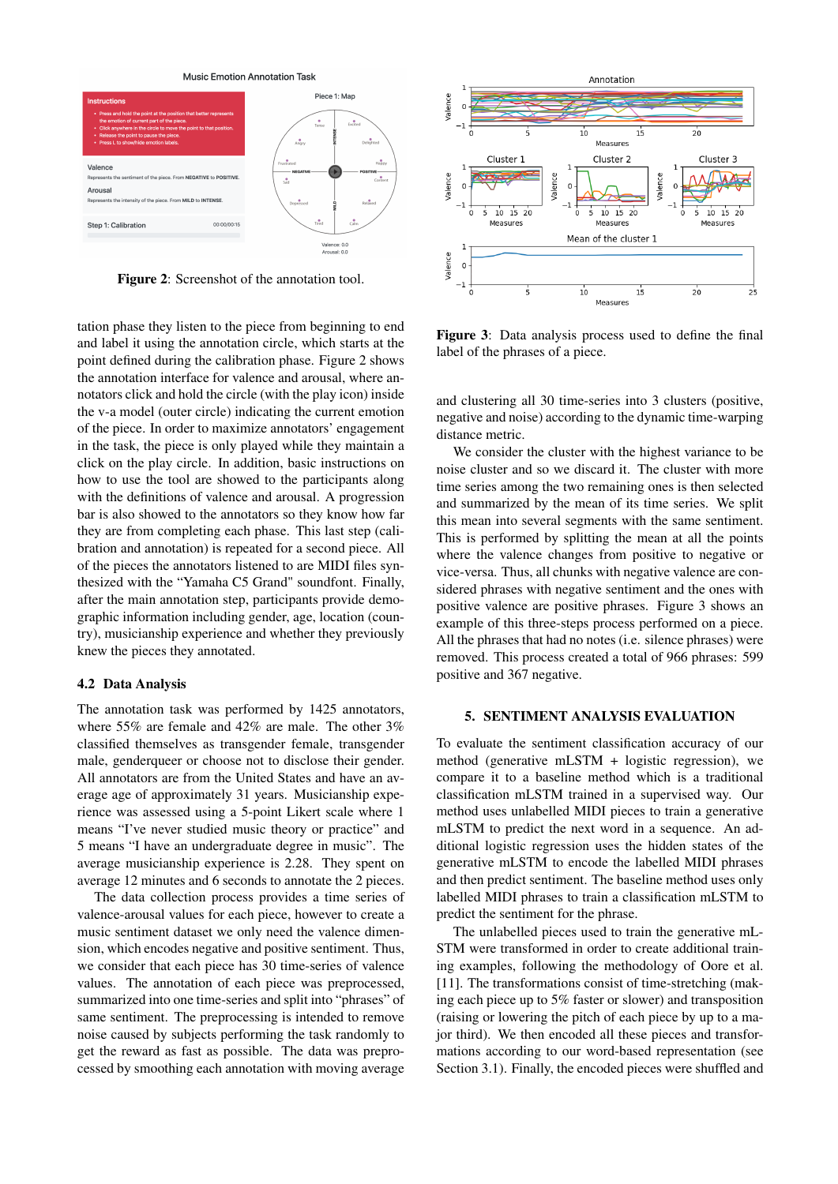Music Emotion Annotation Task



Figure 2: Screenshot of the annotation tool.

tation phase they listen to the piece from beginning to end and label it using the annotation circle, which starts at the point defined during the calibration phase. Figure 2 shows the annotation interface for valence and arousal, where annotators click and hold the circle (with the play icon) inside the v-a model (outer circle) indicating the current emotion of the piece. In order to maximize annotators' engagement in the task, the piece is only played while they maintain a click on the play circle. In addition, basic instructions on how to use the tool are showed to the participants along with the definitions of valence and arousal. A progression bar is also showed to the annotators so they know how far they are from completing each phase. This last step (calibration and annotation) is repeated for a second piece. All of the pieces the annotators listened to are MIDI files synthesized with the "Yamaha C5 Grand" soundfont. Finally, after the main annotation step, participants provide demographic information including gender, age, location (country), musicianship experience and whether they previously knew the pieces they annotated.

#### 4.2 Data Analysis

The annotation task was performed by 1425 annotators, where 55% are female and 42% are male. The other 3% classified themselves as transgender female, transgender male, genderqueer or choose not to disclose their gender. All annotators are from the United States and have an average age of approximately 31 years. Musicianship experience was assessed using a 5-point Likert scale where 1 means "I've never studied music theory or practice" and 5 means "I have an undergraduate degree in music". The average musicianship experience is 2.28. They spent on average 12 minutes and 6 seconds to annotate the 2 pieces.

The data collection process provides a time series of valence-arousal values for each piece, however to create a music sentiment dataset we only need the valence dimension, which encodes negative and positive sentiment. Thus, we consider that each piece has 30 time-series of valence values. The annotation of each piece was preprocessed, summarized into one time-series and split into "phrases" of same sentiment. The preprocessing is intended to remove noise caused by subjects performing the task randomly to get the reward as fast as possible. The data was preprocessed by smoothing each annotation with moving average



Figure 3: Data analysis process used to define the final label of the phrases of a piece.

and clustering all 30 time-series into 3 clusters (positive, negative and noise) according to the dynamic time-warping distance metric.

We consider the cluster with the highest variance to be noise cluster and so we discard it. The cluster with more time series among the two remaining ones is then selected and summarized by the mean of its time series. We split this mean into several segments with the same sentiment. This is performed by splitting the mean at all the points where the valence changes from positive to negative or vice-versa. Thus, all chunks with negative valence are considered phrases with negative sentiment and the ones with positive valence are positive phrases. Figure 3 shows an example of this three-steps process performed on a piece. All the phrases that had no notes (i.e. silence phrases) were removed. This process created a total of 966 phrases: 599 positive and 367 negative.

## 5. SENTIMENT ANALYSIS EVALUATION

To evaluate the sentiment classification accuracy of our method (generative mLSTM + logistic regression), we compare it to a baseline method which is a traditional classification mLSTM trained in a supervised way. Our method uses unlabelled MIDI pieces to train a generative mLSTM to predict the next word in a sequence. An additional logistic regression uses the hidden states of the generative mLSTM to encode the labelled MIDI phrases and then predict sentiment. The baseline method uses only labelled MIDI phrases to train a classification mLSTM to predict the sentiment for the phrase.

The unlabelled pieces used to train the generative mL-STM were transformed in order to create additional training examples, following the methodology of Oore et al. [11]. The transformations consist of time-stretching (making each piece up to 5% faster or slower) and transposition (raising or lowering the pitch of each piece by up to a major third). We then encoded all these pieces and transformations according to our word-based representation (see Section 3.1). Finally, the encoded pieces were shuffled and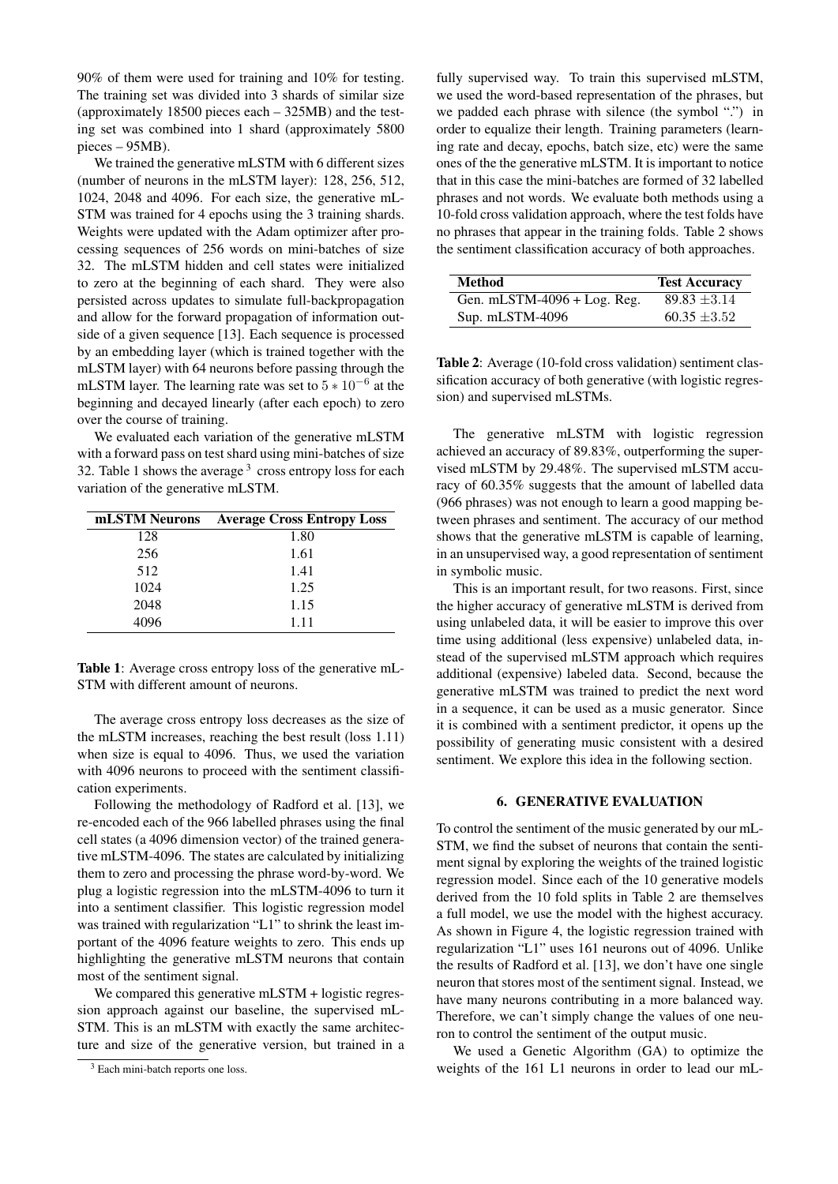90% of them were used for training and 10% for testing. The training set was divided into 3 shards of similar size (approximately 18500 pieces each – 325MB) and the testing set was combined into 1 shard (approximately 5800 pieces – 95MB).

We trained the generative mLSTM with 6 different sizes (number of neurons in the mLSTM layer): 128, 256, 512, 1024, 2048 and 4096. For each size, the generative mL-STM was trained for 4 epochs using the 3 training shards. Weights were updated with the Adam optimizer after processing sequences of 256 words on mini-batches of size 32. The mLSTM hidden and cell states were initialized to zero at the beginning of each shard. They were also persisted across updates to simulate full-backpropagation and allow for the forward propagation of information outside of a given sequence [13]. Each sequence is processed by an embedding layer (which is trained together with the mLSTM layer) with 64 neurons before passing through the mLSTM layer. The learning rate was set to  $5 * 10^{-6}$  at the beginning and decayed linearly (after each epoch) to zero over the course of training.

We evaluated each variation of the generative mLSTM with a forward pass on test shard using mini-batches of size 32. Table 1 shows the average  $3$  cross entropy loss for each variation of the generative mLSTM.

| mLSTM Neurons | <b>Average Cross Entropy Loss</b> |
|---------------|-----------------------------------|
| 128           | 1.80                              |
| 256           | 1.61                              |
| 512           | 1.41                              |
| 1024          | 1.25                              |
| 2048          | 1.15                              |
| 4096          | 1.11                              |

Table 1: Average cross entropy loss of the generative mL-STM with different amount of neurons.

The average cross entropy loss decreases as the size of the mLSTM increases, reaching the best result (loss 1.11) when size is equal to 4096. Thus, we used the variation with 4096 neurons to proceed with the sentiment classification experiments.

Following the methodology of Radford et al. [13], we re-encoded each of the 966 labelled phrases using the final cell states (a 4096 dimension vector) of the trained generative mLSTM-4096. The states are calculated by initializing them to zero and processing the phrase word-by-word. We plug a logistic regression into the mLSTM-4096 to turn it into a sentiment classifier. This logistic regression model was trained with regularization "L1" to shrink the least important of the 4096 feature weights to zero. This ends up highlighting the generative mLSTM neurons that contain most of the sentiment signal.

We compared this generative mLSTM + logistic regression approach against our baseline, the supervised mL-STM. This is an mLSTM with exactly the same architecture and size of the generative version, but trained in a fully supervised way. To train this supervised mLSTM, we used the word-based representation of the phrases, but we padded each phrase with silence (the symbol ".") in order to equalize their length. Training parameters (learning rate and decay, epochs, batch size, etc) were the same ones of the the generative mLSTM. It is important to notice that in this case the mini-batches are formed of 32 labelled phrases and not words. We evaluate both methods using a 10-fold cross validation approach, where the test folds have no phrases that appear in the training folds. Table 2 shows the sentiment classification accuracy of both approaches.

| <b>Method</b>                   | <b>Test Accuracy</b> |
|---------------------------------|----------------------|
| Gen. mLSTM- $4096 + Log$ . Reg. | $89.83 \pm 3.14$     |
| Sup. mLSTM-4096                 | $60.35 \pm 3.52$     |

Table 2: Average (10-fold cross validation) sentiment classification accuracy of both generative (with logistic regression) and supervised mLSTMs.

The generative mLSTM with logistic regression achieved an accuracy of 89.83%, outperforming the supervised mLSTM by 29.48%. The supervised mLSTM accuracy of 60.35% suggests that the amount of labelled data (966 phrases) was not enough to learn a good mapping between phrases and sentiment. The accuracy of our method shows that the generative mLSTM is capable of learning, in an unsupervised way, a good representation of sentiment in symbolic music.

This is an important result, for two reasons. First, since the higher accuracy of generative mLSTM is derived from using unlabeled data, it will be easier to improve this over time using additional (less expensive) unlabeled data, instead of the supervised mLSTM approach which requires additional (expensive) labeled data. Second, because the generative mLSTM was trained to predict the next word in a sequence, it can be used as a music generator. Since it is combined with a sentiment predictor, it opens up the possibility of generating music consistent with a desired sentiment. We explore this idea in the following section.

#### 6. GENERATIVE EVALUATION

To control the sentiment of the music generated by our mL-STM, we find the subset of neurons that contain the sentiment signal by exploring the weights of the trained logistic regression model. Since each of the 10 generative models derived from the 10 fold splits in Table 2 are themselves a full model, we use the model with the highest accuracy. As shown in Figure 4, the logistic regression trained with regularization "L1" uses 161 neurons out of 4096. Unlike the results of Radford et al. [13], we don't have one single neuron that stores most of the sentiment signal. Instead, we have many neurons contributing in a more balanced way. Therefore, we can't simply change the values of one neuron to control the sentiment of the output music.

We used a Genetic Algorithm (GA) to optimize the weights of the 161 L1 neurons in order to lead our mL-

<sup>&</sup>lt;sup>3</sup> Each mini-batch reports one loss.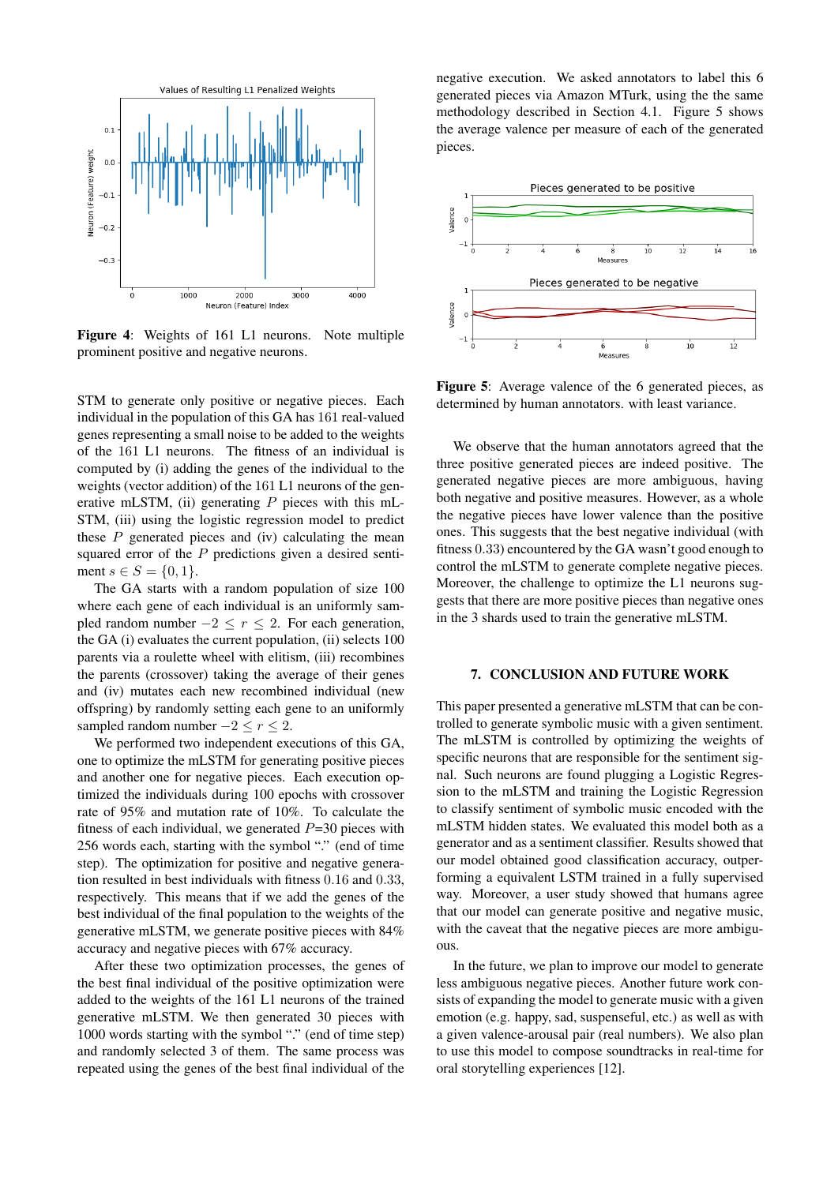

Figure 4: Weights of 161 L1 neurons. Note multiple prominent positive and negative neurons.

STM to generate only positive or negative pieces. Each individual in the population of this GA has 161 real-valued genes representing a small noise to be added to the weights of the 161 L1 neurons. The fitness of an individual is computed by (i) adding the genes of the individual to the weights (vector addition) of the 161 L1 neurons of the generative mLSTM, (ii) generating  $P$  pieces with this mL-STM, (iii) using the logistic regression model to predict these  $P$  generated pieces and (iv) calculating the mean squared error of the P predictions given a desired sentiment  $s \in S = \{0, 1\}.$ 

The GA starts with a random population of size 100 where each gene of each individual is an uniformly sampled random number  $-2 \le r \le 2$ . For each generation, the GA (i) evaluates the current population, (ii) selects 100 parents via a roulette wheel with elitism, (iii) recombines the parents (crossover) taking the average of their genes and (iv) mutates each new recombined individual (new offspring) by randomly setting each gene to an uniformly sampled random number  $-2 \le r \le 2$ .

We performed two independent executions of this GA, one to optimize the mLSTM for generating positive pieces and another one for negative pieces. Each execution optimized the individuals during 100 epochs with crossover rate of 95% and mutation rate of 10%. To calculate the fitness of each individual, we generated  $P=30$  pieces with 256 words each, starting with the symbol "." (end of time step). The optimization for positive and negative generation resulted in best individuals with fitness 0.16 and 0.33, respectively. This means that if we add the genes of the best individual of the final population to the weights of the generative mLSTM, we generate positive pieces with 84% accuracy and negative pieces with 67% accuracy.

After these two optimization processes, the genes of the best final individual of the positive optimization were added to the weights of the 161 L1 neurons of the trained generative mLSTM. We then generated 30 pieces with 1000 words starting with the symbol "." (end of time step) and randomly selected 3 of them. The same process was repeated using the genes of the best final individual of the negative execution. We asked annotators to label this 6 generated pieces via Amazon MTurk, using the the same methodology described in Section 4.1. Figure 5 shows the average valence per measure of each of the generated pieces.



Figure 5: Average valence of the 6 generated pieces, as determined by human annotators. with least variance.

We observe that the human annotators agreed that the three positive generated pieces are indeed positive. The generated negative pieces are more ambiguous, having both negative and positive measures. However, as a whole the negative pieces have lower valence than the positive ones. This suggests that the best negative individual (with fitness 0.33) encountered by the GA wasn't good enough to control the mLSTM to generate complete negative pieces. Moreover, the challenge to optimize the L1 neurons suggests that there are more positive pieces than negative ones in the 3 shards used to train the generative mLSTM.

#### 7. CONCLUSION AND FUTURE WORK

This paper presented a generative mLSTM that can be controlled to generate symbolic music with a given sentiment. The mLSTM is controlled by optimizing the weights of specific neurons that are responsible for the sentiment signal. Such neurons are found plugging a Logistic Regression to the mLSTM and training the Logistic Regression to classify sentiment of symbolic music encoded with the mLSTM hidden states. We evaluated this model both as a generator and as a sentiment classifier. Results showed that our model obtained good classification accuracy, outperforming a equivalent LSTM trained in a fully supervised way. Moreover, a user study showed that humans agree that our model can generate positive and negative music, with the caveat that the negative pieces are more ambiguous.

In the future, we plan to improve our model to generate less ambiguous negative pieces. Another future work consists of expanding the model to generate music with a given emotion (e.g. happy, sad, suspenseful, etc.) as well as with a given valence-arousal pair (real numbers). We also plan to use this model to compose soundtracks in real-time for oral storytelling experiences [12].